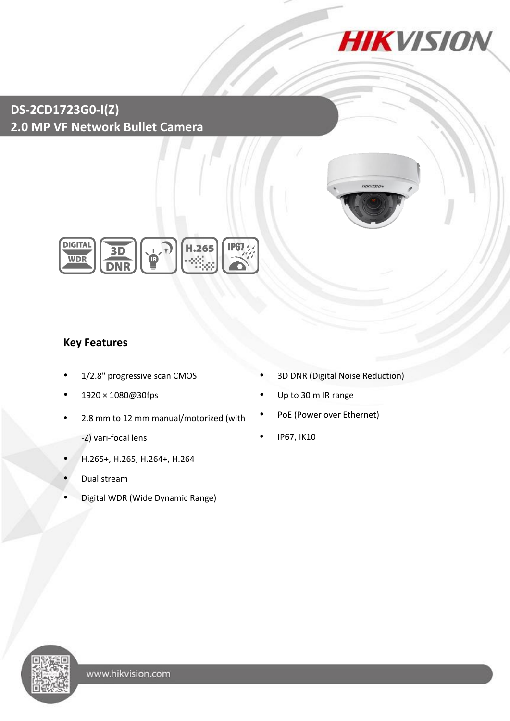

**DS-2CD1723G0-I(Z) 2.0 MP VF Network Bullet Camera**





## **Key Features**

- 
- 
- 2.8 mm to 12 mm manual/motorized (with -Z) vari-focal lens
- H.265+, H.265, H.264+, H.264
- Dual stream
- Digital WDR (Wide Dynamic Range)
- 1/2.8" progressive scan CMOS **•** 3D DNR (Digital Noise Reduction)
- 1920 × 1080@30fps Up to 30 m IR range
	- PoE (Power over Ethernet)
	- IP67, IK10

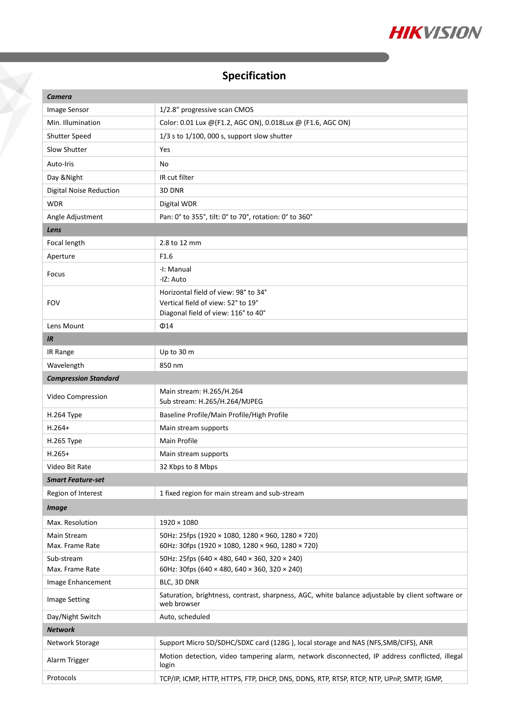

# **Specification**

| Camera                               |                                                                                                                   |  |
|--------------------------------------|-------------------------------------------------------------------------------------------------------------------|--|
| Image Sensor                         | 1/2.8" progressive scan CMOS                                                                                      |  |
| Min. Illumination                    | Color: 0.01 Lux @(F1.2, AGC ON), 0.018Lux @ (F1.6, AGC ON)                                                        |  |
| Shutter Speed                        | $1/3$ s to $1/100$ , 000 s, support slow shutter                                                                  |  |
| Slow Shutter                         | Yes                                                                                                               |  |
| Auto-Iris                            | No                                                                                                                |  |
| Day & Night                          | IR cut filter                                                                                                     |  |
| <b>Digital Noise Reduction</b>       | 3D DNR                                                                                                            |  |
| <b>WDR</b>                           | Digital WDR                                                                                                       |  |
| Angle Adjustment                     | Pan: 0° to 355°, tilt: 0° to 70°, rotation: 0° to 360°                                                            |  |
| Lens                                 |                                                                                                                   |  |
| Focal length                         | 2.8 to 12 mm                                                                                                      |  |
| Aperture                             | F1.6                                                                                                              |  |
| Focus                                | -I: Manual<br>-IZ: Auto                                                                                           |  |
| <b>FOV</b>                           | Horizontal field of view: 98° to 34°<br>Vertical field of view: 52° to 19°<br>Diagonal field of view: 116° to 40° |  |
| Lens Mount                           | $\Phi$ 14                                                                                                         |  |
| IR                                   |                                                                                                                   |  |
| IR Range                             | Up to 30 m                                                                                                        |  |
| Wavelength                           | 850 nm                                                                                                            |  |
| <b>Compression Standard</b>          |                                                                                                                   |  |
| Video Compression                    | Main stream: H.265/H.264<br>Sub stream: H.265/H.264/MJPEG                                                         |  |
| H.264 Type                           | Baseline Profile/Main Profile/High Profile                                                                        |  |
| $H.264+$                             | Main stream supports                                                                                              |  |
| H.265 Type                           | Main Profile                                                                                                      |  |
| $H.265+$                             | Main stream supports                                                                                              |  |
| Video Bit Rate                       | 32 Kbps to 8 Mbps                                                                                                 |  |
| <b>Smart Feature-set</b>             |                                                                                                                   |  |
| Region of Interest                   | 1 fixed region for main stream and sub-stream                                                                     |  |
| <b>Image</b>                         |                                                                                                                   |  |
| Max. Resolution                      | $1920 \times 1080$                                                                                                |  |
| Main Stream                          | 50Hz: 25fps (1920 × 1080, 1280 × 960, 1280 × 720)                                                                 |  |
| Max. Frame Rate                      | 60Hz: 30fps (1920 × 1080, 1280 × 960, 1280 × 720)                                                                 |  |
| Sub-stream                           | 50Hz: 25fps (640 × 480, 640 × 360, 320 × 240)<br>60Hz: 30fps (640 × 480, 640 × 360, 320 × 240)                    |  |
| Max. Frame Rate<br>Image Enhancement | BLC, 3D DNR                                                                                                       |  |
| Image Setting                        | Saturation, brightness, contrast, sharpness, AGC, white balance adjustable by client software or<br>web browser   |  |
| Day/Night Switch                     | Auto, scheduled                                                                                                   |  |
| <b>Network</b>                       |                                                                                                                   |  |
| Network Storage                      | Support Micro SD/SDHC/SDXC card (128G), local storage and NAS (NFS, SMB/CIFS), ANR                                |  |
| Alarm Trigger                        | Motion detection, video tampering alarm, network disconnected, IP address conflicted, illegal<br>login            |  |
| Protocols                            | TCP/IP, ICMP, HTTP, HTTPS, FTP, DHCP, DNS, DDNS, RTP, RTSP, RTCP, NTP, UPnP, SMTP, IGMP,                          |  |
|                                      |                                                                                                                   |  |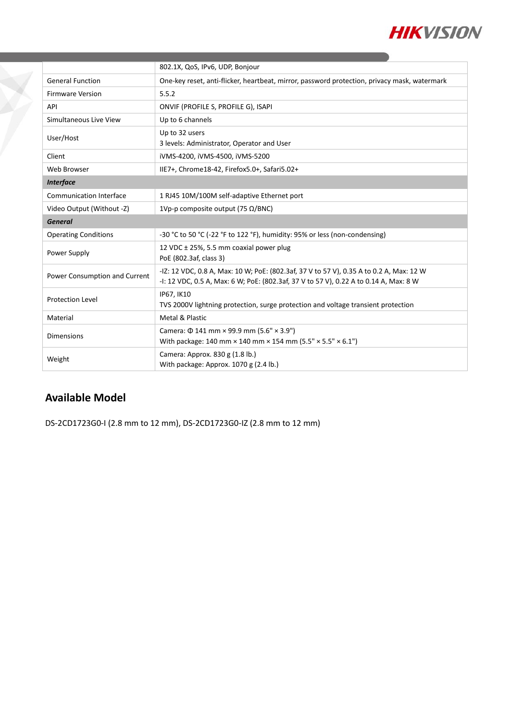

|                                | 802.1X, QoS, IPv6, UDP, Bonjour                                                                                                                                                  |
|--------------------------------|----------------------------------------------------------------------------------------------------------------------------------------------------------------------------------|
| <b>General Function</b>        | One-key reset, anti-flicker, heartbeat, mirror, password protection, privacy mask, watermark                                                                                     |
| <b>Firmware Version</b>        | 5.5.2                                                                                                                                                                            |
| <b>API</b>                     | ONVIF (PROFILE S, PROFILE G), ISAPI                                                                                                                                              |
| Simultaneous Live View         | Up to 6 channels                                                                                                                                                                 |
| User/Host                      | Up to 32 users<br>3 levels: Administrator, Operator and User                                                                                                                     |
| Client                         | iVMS-4200, iVMS-4500, iVMS-5200                                                                                                                                                  |
| Web Browser                    | IIE7+, Chrome18-42, Firefox5.0+, Safari5.02+                                                                                                                                     |
| <b>Interface</b>               |                                                                                                                                                                                  |
| <b>Communication Interface</b> | 1 RJ45 10M/100M self-adaptive Ethernet port                                                                                                                                      |
| Video Output (Without -Z)      | 1Vp-p composite output (75 $\Omega$ /BNC)                                                                                                                                        |
| <b>General</b>                 |                                                                                                                                                                                  |
| <b>Operating Conditions</b>    | -30 °C to 50 °C (-22 °F to 122 °F), humidity: 95% or less (non-condensing)                                                                                                       |
| Power Supply                   | 12 VDC $\pm$ 25%, 5.5 mm coaxial power plug<br>PoE (802.3af, class 3)                                                                                                            |
| Power Consumption and Current  | -IZ: 12 VDC, 0.8 A, Max: 10 W; PoE: (802.3af, 37 V to 57 V), 0.35 A to 0.2 A, Max: 12 W<br>-I: 12 VDC, 0.5 A, Max: 6 W; PoE: (802.3af, 37 V to 57 V), 0.22 A to 0.14 A, Max: 8 W |
| <b>Protection Level</b>        | IP67, IK10<br>TVS 2000V lightning protection, surge protection and voltage transient protection                                                                                  |
| Material                       | Metal & Plastic                                                                                                                                                                  |
| <b>Dimensions</b>              | Camera: $\Phi$ 141 mm × 99.9 mm (5.6" × 3.9")<br>With package: 140 mm $\times$ 140 mm $\times$ 154 mm (5.5" $\times$ 5.5" $\times$ 6.1")                                         |
| Weight                         | Camera: Approx. 830 g (1.8 lb.)<br>With package: Approx. 1070 g (2.4 lb.)                                                                                                        |

## **Available Model**

Y

DS-2CD1723G0-I (2.8 mm to 12 mm), DS-2CD1723G0-IZ (2.8 mm to 12 mm)